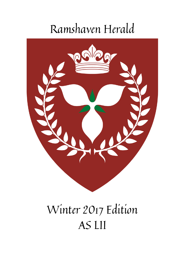## Ramshaven Herald



# Winter 2017 Edition AS LII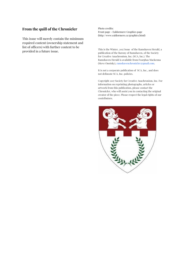#### **From the quill of the Chronicler**

This issue will merely contain the minimum required content (ownership statement and list of officers) with further content to be provided in a future issue.

Photo credits: Front page - Ealdormere Graphics page (http://www.ealdormere.ca/graphics.html)

This is the Winter, 2017 Issue of the Ramshaven Herald, a publication of the Barony of Ramshaven, of the Society for Creative Anachronism, Inc. (SCA, Inc.). The Ramshaven Herald is available from Fearghas Mackenna (Steve Onotsky), ramshavenchronicler@gmail.com.

It is not a corporate publication of SCA, Inc., and does not delineate SCA, Inc. policies.

Copyright 2017 Society for Creative Anachronism, Inc. For information on reprinting photographs, articles or artwork from this publication, please contact the Chronicler, who will assist you in contacting the original creator of the piece. Please respect the legal rights of our contributors.